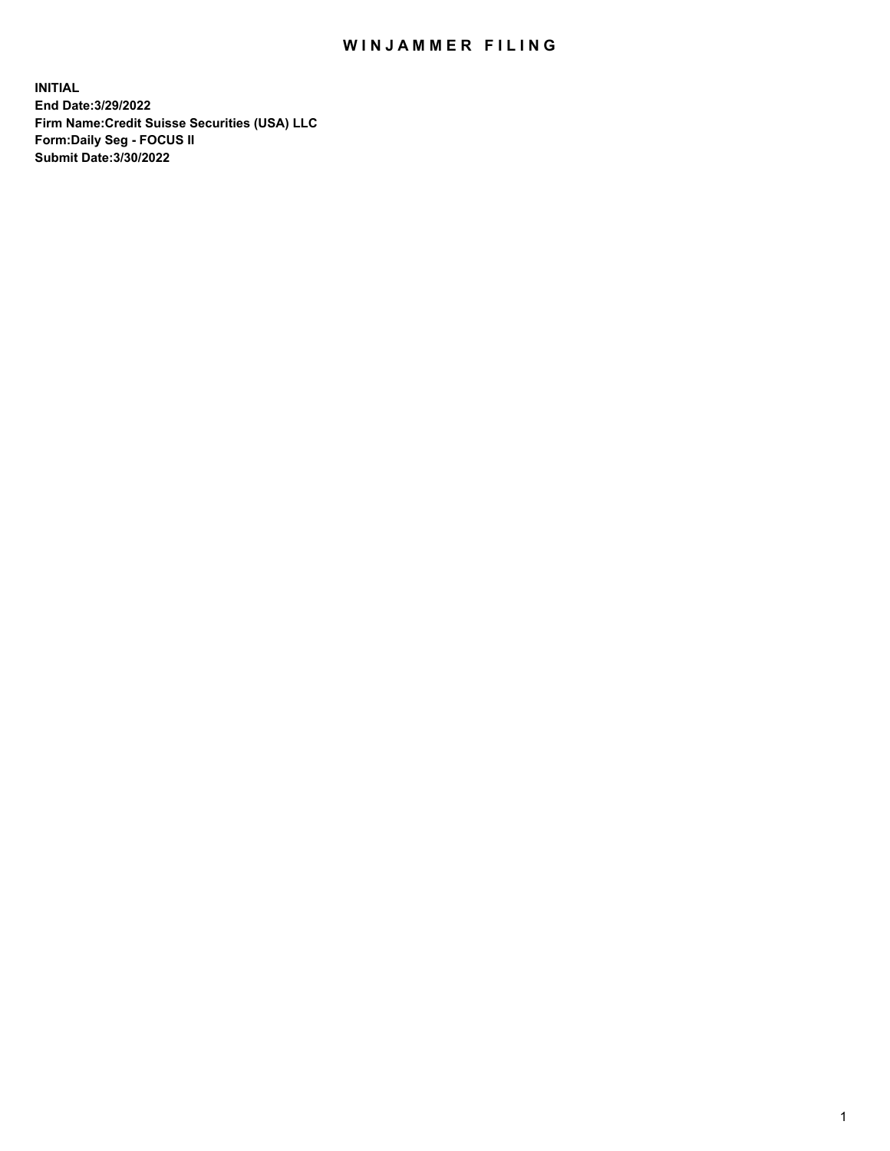## WIN JAMMER FILING

**INITIAL End Date:3/29/2022 Firm Name:Credit Suisse Securities (USA) LLC Form:Daily Seg - FOCUS II Submit Date:3/30/2022**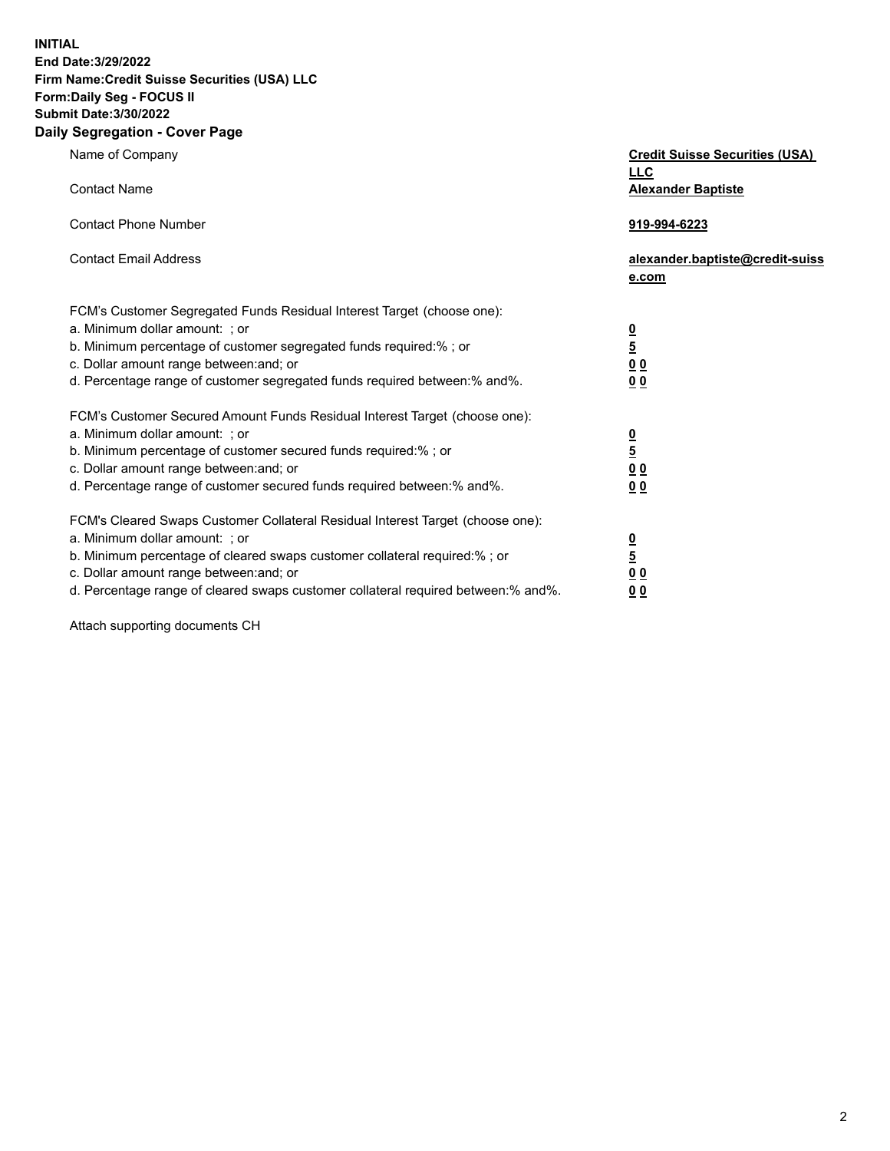**INITIAL**

## **End Date:3/29/2022 Firm Name:Credit Suisse Securities (USA) LLC Form:Daily Seg - FOCUS II Submit Date:3/30/2022**

## **Daily Segregation - Cover Page**

| Name of Company<br><b>Contact Name</b>                                                                                                                                                                                                                                                                                         | <b>Credit Suisse Securities (USA)</b><br><u>LLC</u><br><b>Alexander Baptiste</b> |
|--------------------------------------------------------------------------------------------------------------------------------------------------------------------------------------------------------------------------------------------------------------------------------------------------------------------------------|----------------------------------------------------------------------------------|
| <b>Contact Phone Number</b>                                                                                                                                                                                                                                                                                                    | 919-994-6223                                                                     |
| <b>Contact Email Address</b>                                                                                                                                                                                                                                                                                                   | alexander.baptiste@credit-suiss<br>e.com                                         |
| FCM's Customer Segregated Funds Residual Interest Target (choose one):<br>a. Minimum dollar amount: ; or<br>b. Minimum percentage of customer segregated funds required:% ; or<br>c. Dollar amount range between: and; or<br>d. Percentage range of customer segregated funds required between:% and%.                         | $\frac{\frac{0}{5}}{\frac{0}{0}}$<br>0 <sub>0</sub>                              |
| FCM's Customer Secured Amount Funds Residual Interest Target (choose one):<br>a. Minimum dollar amount: ; or<br>b. Minimum percentage of customer secured funds required:%; or<br>c. Dollar amount range between: and; or<br>d. Percentage range of customer secured funds required between:% and%.                            | $\frac{0}{5}$<br>$\underline{0}$<br>$\underline{0}$<br>0 <sub>0</sub>            |
| FCM's Cleared Swaps Customer Collateral Residual Interest Target (choose one):<br>a. Minimum dollar amount: ; or<br>b. Minimum percentage of cleared swaps customer collateral required:% ; or<br>c. Dollar amount range between: and; or<br>d. Percentage range of cleared swaps customer collateral required between:% and%. | $\frac{0}{5}$<br>0 <sub>0</sub><br>0 <sub>0</sub>                                |

Attach supporting documents CH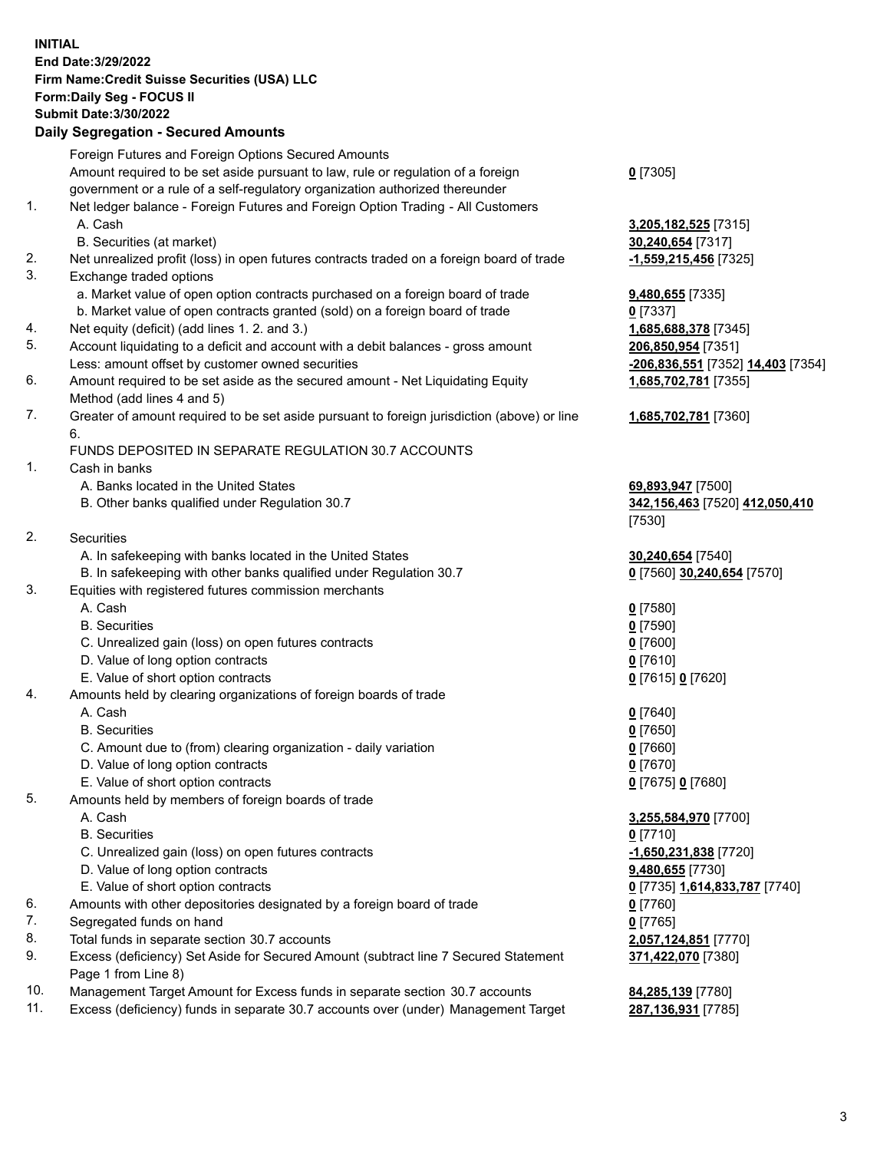**INITIAL End Date:3/29/2022 Firm Name:Credit Suisse Securities (USA) LLC Form:Daily Seg - FOCUS II Submit Date:3/30/2022**

## **Daily Segregation - Secured Amounts**

|     | Foreign Futures and Foreign Options Secured Amounts                                         |                                   |
|-----|---------------------------------------------------------------------------------------------|-----------------------------------|
|     | Amount required to be set aside pursuant to law, rule or regulation of a foreign            | $0$ [7305]                        |
|     | government or a rule of a self-regulatory organization authorized thereunder                |                                   |
| 1.  | Net ledger balance - Foreign Futures and Foreign Option Trading - All Customers             |                                   |
|     | A. Cash                                                                                     | 3,205,182,525 [7315]              |
|     | B. Securities (at market)                                                                   | 30,240,654 [7317]                 |
| 2.  | Net unrealized profit (loss) in open futures contracts traded on a foreign board of trade   | -1,559,215,456 [7325]             |
| 3.  | Exchange traded options                                                                     |                                   |
|     | a. Market value of open option contracts purchased on a foreign board of trade              | 9,480,655 [7335]                  |
|     | b. Market value of open contracts granted (sold) on a foreign board of trade                | $0$ [7337]                        |
| 4.  | Net equity (deficit) (add lines 1. 2. and 3.)                                               | 1,685,688,378 [7345]              |
| 5.  | Account liquidating to a deficit and account with a debit balances - gross amount           | 206,850,954 [7351]                |
|     | Less: amount offset by customer owned securities                                            | -206,836,551 [7352] 14,403 [7354] |
| 6.  | Amount required to be set aside as the secured amount - Net Liquidating Equity              | 1,685,702,781 [7355]              |
|     | Method (add lines 4 and 5)                                                                  |                                   |
| 7.  | Greater of amount required to be set aside pursuant to foreign jurisdiction (above) or line | 1,685,702,781 [7360]              |
|     | 6.                                                                                          |                                   |
|     | FUNDS DEPOSITED IN SEPARATE REGULATION 30.7 ACCOUNTS                                        |                                   |
| 1.  | Cash in banks                                                                               |                                   |
|     | A. Banks located in the United States                                                       | 69,893,947 [7500]                 |
|     | B. Other banks qualified under Regulation 30.7                                              | 342,156,463 [7520] 412,050,410    |
|     |                                                                                             | [7530]                            |
| 2.  | Securities                                                                                  |                                   |
|     | A. In safekeeping with banks located in the United States                                   | 30,240,654 [7540]                 |
|     | B. In safekeeping with other banks qualified under Regulation 30.7                          | 0 [7560] 30,240,654 [7570]        |
| 3.  | Equities with registered futures commission merchants                                       |                                   |
|     | A. Cash                                                                                     | $0$ [7580]                        |
|     | <b>B.</b> Securities                                                                        | $0$ [7590]                        |
|     | C. Unrealized gain (loss) on open futures contracts                                         | $0$ [7600]                        |
|     | D. Value of long option contracts                                                           | $0$ [7610]                        |
|     | E. Value of short option contracts                                                          | 0 [7615] 0 [7620]                 |
| 4.  | Amounts held by clearing organizations of foreign boards of trade                           |                                   |
|     | A. Cash                                                                                     | $0$ [7640]                        |
|     | <b>B.</b> Securities                                                                        | $0$ [7650]                        |
|     | C. Amount due to (from) clearing organization - daily variation                             | $0$ [7660]                        |
|     | D. Value of long option contracts                                                           | $0$ [7670]                        |
|     | E. Value of short option contracts                                                          | 0 [7675] 0 [7680]                 |
| 5.  | Amounts held by members of foreign boards of trade                                          |                                   |
|     | A. Cash                                                                                     | 3,255,584,970 [7700]              |
|     | <b>B.</b> Securities                                                                        | $0$ [7710]                        |
|     | C. Unrealized gain (loss) on open futures contracts                                         | -1,650,231,838 [7720]             |
|     | D. Value of long option contracts                                                           | 9,480,655 [7730]                  |
|     | E. Value of short option contracts                                                          | 0 [7735] 1,614,833,787 [7740]     |
| 6.  | Amounts with other depositories designated by a foreign board of trade                      | $0$ [7760]                        |
| 7.  | Segregated funds on hand                                                                    | $0$ [7765]                        |
| 8.  | Total funds in separate section 30.7 accounts                                               | 2,057,124,851 [7770]              |
| 9.  | Excess (deficiency) Set Aside for Secured Amount (subtract line 7 Secured Statement         | 371,422,070 [7380]                |
|     | Page 1 from Line 8)                                                                         |                                   |
| 10. | Management Target Amount for Excess funds in separate section 30.7 accounts                 | 84,285,139 [7780]                 |

11. Excess (deficiency) funds in separate 30.7 accounts over (under) Management Target **287,136,931** [7785]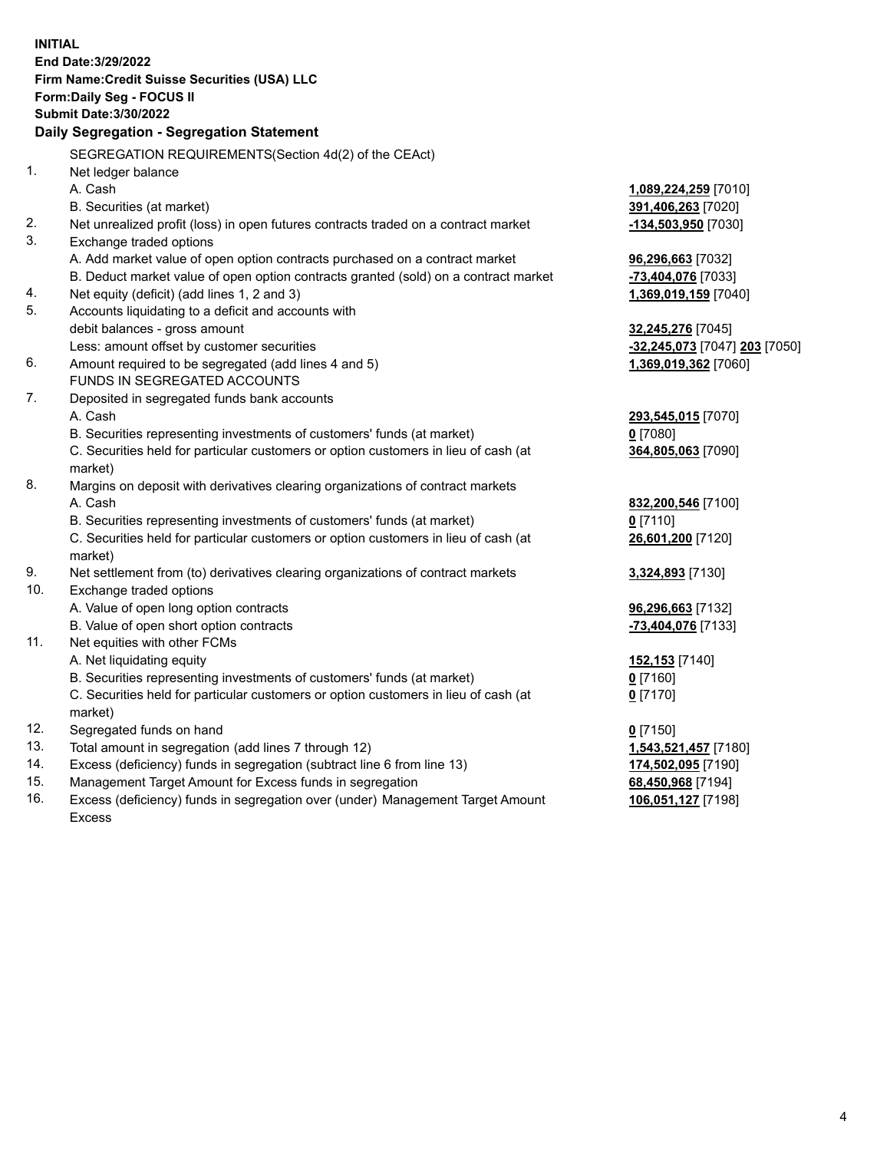**INITIAL End Date:3/29/2022 Firm Name:Credit Suisse Securities (USA) LLC Form:Daily Seg - FOCUS II Submit Date:3/30/2022 Daily Segregation - Segregation Statement** SEGREGATION REQUIREMENTS(Section 4d(2) of the CEAct) 1. Net ledger balance A. Cash **1,089,224,259** [7010] B. Securities (at market) **391,406,263** [7020] 2. Net unrealized profit (loss) in open futures contracts traded on a contract market **-134,503,950** [7030] 3. Exchange traded options A. Add market value of open option contracts purchased on a contract market **96,296,663** [7032] B. Deduct market value of open option contracts granted (sold) on a contract market **-73,404,076** [7033] 4. Net equity (deficit) (add lines 1, 2 and 3) **1,369,019,159** [7040] 5. Accounts liquidating to a deficit and accounts with debit balances - gross amount **32,245,276** [7045] Less: amount offset by customer securities **-32,245,073** [7047] **203** [7050] 6. Amount required to be segregated (add lines 4 and 5) **1,369,019,362** [7060] FUNDS IN SEGREGATED ACCOUNTS 7. Deposited in segregated funds bank accounts A. Cash **293,545,015** [7070] B. Securities representing investments of customers' funds (at market) **0** [7080] C. Securities held for particular customers or option customers in lieu of cash (at market) **364,805,063** [7090] 8. Margins on deposit with derivatives clearing organizations of contract markets A. Cash **832,200,546** [7100] B. Securities representing investments of customers' funds (at market) **0** [7110] C. Securities held for particular customers or option customers in lieu of cash (at market) **26,601,200** [7120] 9. Net settlement from (to) derivatives clearing organizations of contract markets **3,324,893** [7130] 10. Exchange traded options A. Value of open long option contracts **96,296,663** [7132] B. Value of open short option contracts **-73,404,076** [7133] 11. Net equities with other FCMs A. Net liquidating equity **152,153** [7140] B. Securities representing investments of customers' funds (at market) **0** [7160] C. Securities held for particular customers or option customers in lieu of cash (at market) **0** [7170] 12. Segregated funds on hand **0** [7150] 13. Total amount in segregation (add lines 7 through 12) **1,543,521,457** [7180] 14. Excess (deficiency) funds in segregation (subtract line 6 from line 13) **174,502,095** [7190] 15. Management Target Amount for Excess funds in segregation **68,450,968** [7194]

16. Excess (deficiency) funds in segregation over (under) Management Target Amount Excess

**106,051,127** [7198]